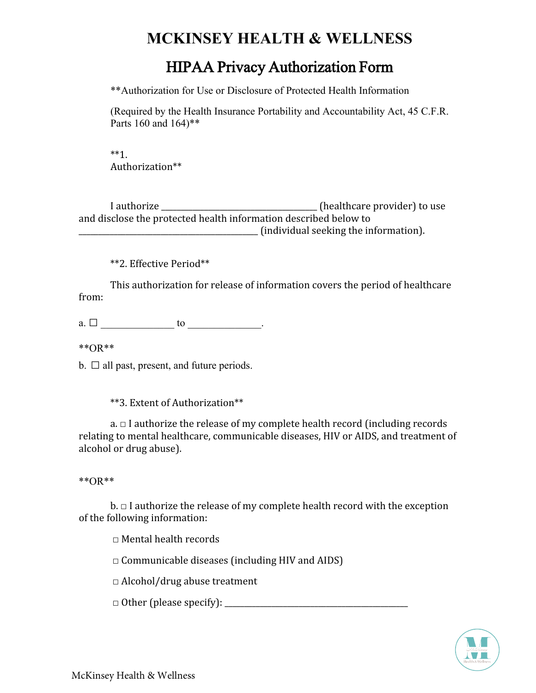## **MCKINSEY HEALTH & WELLNESS**

## HIPAA Privacy Authorization Form

\*\*Authorization for Use or Disclosure of Protected Health Information

(Required by the Health Insurance Portability and Accountability Act, 45 C.F.R. Parts 160 and 164)\*\*

\*\*1. Authorization\*\*

I authorize \_\_\_\_\_\_\_\_\_\_\_\_\_\_\_\_\_\_\_\_\_\_\_\_\_\_\_\_\_\_\_\_\_\_\_ (healthcare provider) to use and
disclose
the
protected
health
information
described
below
to \_\_\_\_\_\_\_\_\_\_\_\_\_\_\_\_\_\_\_\_\_\_\_\_\_\_\_\_\_\_\_\_\_\_\_\_\_\_\_\_\_\_\_\_\_\_
(individual
seeking
the
information).

\*\*2.
Effective
Period\*\*

This
authorization
for
release
of
information
covers
the
period
of
healthcare from:

a.  $\Box$  do to  $\Box$ 

\*\*OR\*\*

b. **□** all past, present, and future periods.

\*\*3.
Extent
of
Authorization\*\*

 $a \equiv 1$  authorize the release of my complete health record (including records relating
to
mental
healthcare,
communicable
diseases,
HIV
or
AIDS,
and
treatment
of alcohol
or
drug
abuse).

\*\*OR\*\*

 $b. \Box$  I authorize the release of my complete health record with the exception of
the
following
information:

□ Mental health records

 $\Box$  Communicable diseases (including HIV and AIDS)

□Alcohol/drug
abuse
treatment

 $\Box$  Other (please specify):